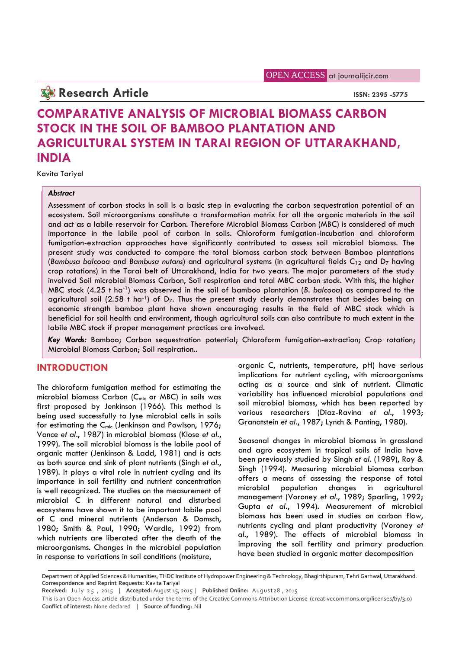## **Research Article ISSN: 2395 -5775**

# **COMPARATIVE ANALYSIS OF MICROBIAL BIOMASS CARBON STOCK IN THE SOIL OF BAMBOO PLANTATION AND AGRICULTURAL SYSTEM IN TARAI REGION OF UTTARAKHAND, INDIA**

Kavita Tariyal

#### *Abstract*

Assessment of carbon stocks in soil is a basic step in evaluating the carbon sequestration potential of an ecosystem. Soil microorganisms constitute a transformation matrix for all the organic materials in the soil and act as a labile reservoir for Carbon. Therefore Microbial Biomass Carbon (MBC) is considered of much importance in the labile pool of carbon in soils. Chloroform fumigation-incubation and chloroform fumigation-extraction approaches have significantly contributed to assess soil microbial biomass. The present study was conducted to compare the total biomass carbon stock between Bamboo plantations (*Bambusa balcooa* and *Bambusa nutans*) and agricultural systems (in agricultural fields C<sup>12</sup> and D<sup>7</sup> having crop rotations) in the Tarai belt of Uttarakhand, India for two years. The major parameters of the study involved Soil microbial Biomass Carbon, Soil respiration and total MBC carbon stock. With this, the higher MBC stock (4.25 t ha-1) was observed in the soil of bamboo plantation (*B. balcooa*) as compared to the agricultural soil (2.58 t ha<sup>-1</sup>) of D<sub>7</sub>. Thus the present study clearly demonstrates that besides being an economic strength bamboo plant have shown encouraging results in the field of MBC stock which is beneficial for soil health and environment, though agricultural soils can also contribute to much extent in the labile MBC stock if proper management practices are involved.

*Key Words:* Bamboo; Carbon sequestration potential; Chloroform fumigation-extraction; Crop rotation; Microbial Biomass Carbon; Soil respiration..

## **INTRODUCTION**

The chloroform fumigation method for estimating the microbial biomass Carbon (C<sub>mic</sub> or MBC) in soils was first proposed by Jenkinson (1966). This method is being used successfully to lyse microbial cells in soils for estimating the C<sub>mic</sub> (Jenkinson and Powlson, 1976; Vance *et al*., 1987) in microbial biomass (Klose *et al*., 1999). The soil microbial biomass is the labile pool of organic matter (Jenkinson & Ladd, 1981) and is acts as both source and sink of plant nutrients (Singh *et al*., 1989). It plays a vital role in nutrient cycling and its importance in soil fertility and nutrient concentration <sup>otters</sup> a is well recognized. The studies on the measurement of microbial C in different natural and disturbed ecosystems have shown it to be important labile pool of C and mineral nutrients (Anderson & Domsch, 1980; Smith & Paul, 1990; Wardle, 1992) from which nutrients are liberated after the death of the microorganisms. Changes in the microbial population in response to variations in soil conditions (moisture,

organic C, nutrients, temperature, pH) have serious implications for nutrient cycling, with microorganisms acting as a source and sink of nutrient. Climatic variability has influenced microbial populations and soil microbial biomass, which has been reported by various researchers (Diaz-Ravina *et al*., 1993; Granatstein *et al*., 1987; Lynch & Panting, 1980).

Seasonal changes in microbial biomass in grassland and agro ecosystem in tropical soils of India have been previously studied by Singh *et al*. (1989), Roy & Singh (1994). Measuring microbial biomass carbon offers a means of assessing the response of total population changes in agricultural management (Voroney *et al*., 1989; Sparling, 1992; Gupta *et al*., 1994). Measurement of microbial biomass has been used in studies on carbon flow, nutrients cycling and plant productivity (Voroney *et al*., 1989). The effects of microbial biomass in improving the soil fertility and primary production have been studied in organic matter decomposition

Department of Applied Sciences & Humanities, THDC Institute of Hydropower Engineering & Technology, Bhagirthipuram, Tehri Garhwal, Uttarakhand. **Correspondence and Reprint Requests:** Kavita Tariyal response to variations in soil conditions (moisture,<br>Department of Applied Sciences & Humanities, THDC Institute of Hydropower Engineering & Technology, Bhagirthipuram, Tehri Garhwal, Uttarakhand.<br>Correspondence and Reprin

**Conflict of interest:** None declared | **Source of funding:** Nil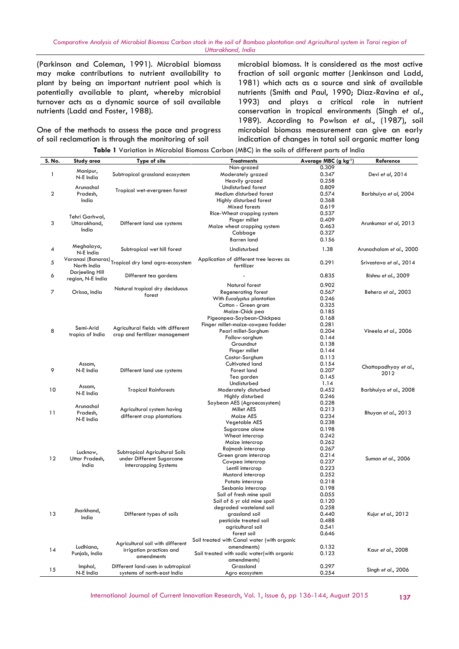(Parkinson and Coleman, 1991). Microbial biomass may make contributions to nutrient availability to plant by being an important nutrient pool which is potentially available to plant, whereby microbial turnover acts as a dynamic source of soil available nutrients (Ladd and Foster, 1988).

One of the methods to assess the pace and progress of soil reclamation is through the monitoring of soil

microbial biomass. It is considered as the most active fraction of soil organic matter (Jenkinson and Ladd, 1981) which acts as a source and sink of available nutrients (Smith and Paul, 1990; Diaz-Ravina *et al*., 1993) and plays a critical role in nutrient conservation in tropical environments (Singh *et al*., 1989). According to Powlson *et al*., (1987), soil microbial biomass measurement can give an early indication of changes in total soil organic matter long

| S. No. | Study area        | Type of site                                        | <b>Treatments</b>                           | Average MBC (g kg-1) | Reference                |
|--------|-------------------|-----------------------------------------------------|---------------------------------------------|----------------------|--------------------------|
|        |                   |                                                     | Non-grazed                                  | 0.309                |                          |
| 1      | Manipur,          | Subtropical grassland ecosystem                     | Moderately grazed                           | 0.347                | Devi et al, 2014         |
|        | N-E India         |                                                     | Heavily grazed                              | 0.258                |                          |
|        | Arunachal         |                                                     | Undisturbed forest                          | 0.809                |                          |
| 2      | Pradesh,          | Tropical wet-evergreen forest                       | Medium disturbed forest                     | 0.574                | Barbhuiya et al, 2004    |
|        |                   |                                                     |                                             |                      |                          |
|        | India             |                                                     | Highly disturbed forest                     | 0.368                |                          |
|        |                   |                                                     | Mixed forests                               | 0.619                |                          |
|        | Tehri Garhwal,    |                                                     | Rice-Wheat cropping system                  | 0.537                |                          |
|        |                   |                                                     | Finger millet                               | 0.409                |                          |
| 3      | Uttarakhand,      | Different land use systems                          | Maize wheat cropping system                 | 0.463                | Arunkumar et al, 2013    |
|        | India             |                                                     | Cabbage                                     | 0.327                |                          |
|        |                   |                                                     | <b>Barren</b> land                          | 0.156                |                          |
|        | Meghalaya,        |                                                     |                                             |                      |                          |
| 4      | N-E India         | Subtropical wet hill forest                         | Undisturbed                                 | 1.38                 | Arunachalam et al., 2000 |
|        |                   |                                                     |                                             |                      |                          |
| 5      |                   | Varanasi (Banaras) Tropical dry land agro-ecosystem | Application of different tree leaves as     | 0.291                | Srivastava et al., 2014  |
|        | North India       |                                                     | fertilizer                                  |                      |                          |
| 6      | Darjeeling Hill   | Different tea gardens                               |                                             | 0.835                | Bishnu et al., 2009      |
|        | region, N-E India |                                                     |                                             |                      |                          |
|        |                   |                                                     | Natural forest                              | 0.902                |                          |
| 7      | Orissa, India     | Natural tropical dry deciduous                      | <b>Regenerating forest</b>                  | 0.567                | Behera et al., 2003      |
|        |                   | forest                                              | With Eucalyptus plantation                  | 0.246                |                          |
|        |                   |                                                     |                                             |                      |                          |
|        |                   |                                                     | Cotton - Green gram                         | 0.325                |                          |
|        |                   |                                                     | Maize-Chick pea                             | 0.185                |                          |
|        |                   |                                                     | Pigeonpea-Soybean-Chickpea                  | 0.168                |                          |
|        | Semi-Arid         | Agricultural fields with different                  | Finger millet-maize-cowpea fodder           | 0.281                |                          |
| 8      |                   |                                                     | Pearl millet-Sorghum                        | 0.204                | Vineela et al., 2006     |
|        | tropics of India  | crop and fertilizer management                      | Fallow-sorghum                              | 0.144                |                          |
|        |                   |                                                     | Groundnut                                   | 0.138                |                          |
|        |                   |                                                     | Finger millet                               | 0.144                |                          |
|        |                   |                                                     | Castor-Sorghum                              | 0.113                |                          |
|        |                   |                                                     |                                             |                      |                          |
|        | Assam,            |                                                     | Cultivated land                             | 0.154                | Chattopadhyay et al.,    |
| 9      | N-E India         | Different land use systems                          | Forest land                                 | 0.207                | 2012                     |
|        |                   |                                                     | Tea garden                                  | 0.145                |                          |
|        |                   |                                                     | Undisturbed                                 | 1.14                 |                          |
| 10     | Assam,            | <b>Tropical Rainforests</b>                         | Moderately disturbed                        | 0.452                | Barbhuiya et al., 2008   |
|        | N-E India         |                                                     | Highly disturbed                            | 0.246                |                          |
|        |                   |                                                     | Soybean AES (Agroecosystem)                 | 0.228                |                          |
|        | Arunachal         | Agricultural system having                          | Millet AES                                  | 0.213                |                          |
| 11     | Pradesh,          |                                                     |                                             |                      | Bhuyan et al., 2013      |
|        | N-E India         | different crop plantations                          | Maize AES                                   | 0.234                |                          |
|        |                   |                                                     | Vegetable AES                               | 0.238                |                          |
|        |                   |                                                     | Sugarcane alone                             | 0.198                |                          |
|        |                   |                                                     | Wheat intercrop                             | 0.242                |                          |
|        |                   |                                                     | Maize intercrop                             | 0.262                |                          |
|        |                   |                                                     | Rajmash intercrop                           | 0.267                |                          |
|        | Lucknow,          | Subtropical Agricultural Soils                      | Green gram intercrop                        | 0.214                |                          |
| 12     | Uttar Pradesh,    | under Different Sugarcane                           |                                             |                      | Suman et al., 2006       |
|        | India             | Intercropping Systems                               | Cowpea intercrop                            | 0.237                |                          |
|        |                   |                                                     | Lentil intercrop                            | 0.223                |                          |
|        |                   |                                                     | Mustard intercrop                           | 0.252                |                          |
|        |                   |                                                     | Potato intercrop                            | 0.218                |                          |
|        |                   |                                                     | Sesbania intercrop                          | 0.198                |                          |
|        |                   |                                                     | Soil of fresh mine spoil                    | 0.055                |                          |
|        |                   |                                                     | Soil of 6 yr old mine spoil                 | 0.120                |                          |
|        |                   |                                                     | degraded wasteland soil                     | 0.258                |                          |
|        | Jharkhand,        |                                                     |                                             |                      | Kujur et al., 2012       |
| 13     | India             | Different types of soils                            | grassland soil                              | 0.440                |                          |
|        |                   |                                                     | pesticide treated soil                      | 0.488                |                          |
|        |                   |                                                     | agricultural soil                           | 0.541                |                          |
|        |                   |                                                     | forest soil                                 | 0.646                |                          |
|        |                   |                                                     | Soil treated with Canal water (with organic |                      |                          |
|        | Ludhiana,         | Agricultural soil with different                    | amendments)                                 | 0.132                |                          |
| 14     | Punjab, India     | irrigation practices and                            | Soil treated with sodic water(with organic  | 0.123                | Kaur et al., 2008        |
|        |                   | amendments                                          |                                             |                      |                          |
|        |                   |                                                     | amendments)                                 |                      |                          |
| 15     | Imphal,           | Different land-uses in subtropical                  | Grassland                                   | 0.297                | Singh et al., 2006       |
|        | N-E India         | systems of north-east India                         | Agro ecosystem                              | 0.254                |                          |

**Table 1** Variation in Microbial Biomass Carbon (MBC) in the soils of different parts of India

International Journal of Current Innovation Research, Vol. 1, Issue 6, pp 136-144, August 2015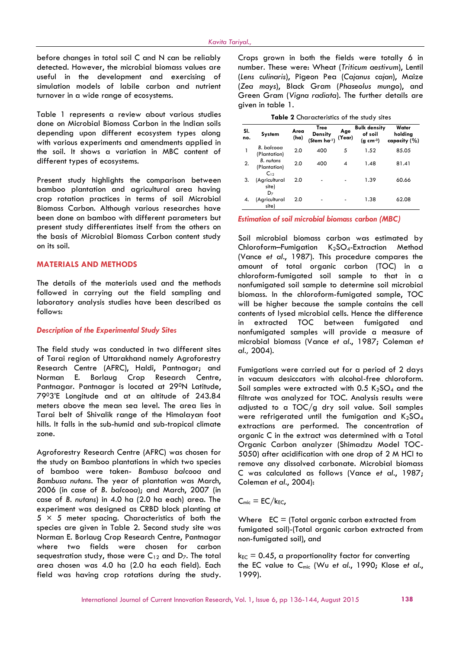before changes in total soil C and N can be reliably detected. However, the microbial biomass values are useful in the development and exercising of simulation models of labile carbon and nutrient turnover in a wide range of ecosystems.

Table 1 represents a review about various studies done on Microbial Biomass Carbon in the Indian soils depending upon different ecosystem types along with various experiments and amendments applied in the soil. It shows a variation in MBC content of different types of ecosystems.

Present study highlights the comparison between bamboo plantation and agricultural area having crop rotation practices in terms of soil Microbial Biomass Carbon. Although various researches have been done on bamboo with different parameters but present study differentiates itself from the others on the basis of Microbial Biomass Carbon content study on its soil.

#### **MATERIALS AND METHODS**

The details of the materials used and the methods followed in carrying out the field sampling and laboratory analysis studies have been described as follows:

#### *Description of the Experimental Study Sites*

The field study was conducted in two different sites of Tarai region of Uttarakhand namely Agroforestry Research Centre (AFRC), Haldi, Pantnagar; and Norman E. Borlaug Crop Research Centre, Pantnagar. Pantnagar is located at 29<sup>0</sup>N Latitude, 7903'E Longitude and at an altitude of 243.84 meters above the mean sea level. The area lies in Tarai belt of Shivalik range of the Himalayan foot hills. It falls in the sub-humid and sub-tropical climate zone.

Agroforestry Research Centre (AFRC) was chosen for the study on Bamboo plantations in which two species of bamboo were taken- *Bambusa balcooa* and *Bambusa nutans*. The year of plantation was March, 2006 (in case of *B. balcooa*); and March, 2007 (in case of *B. nutans*) in 4.0 ha (2.0 ha each) area. The experiment was designed as CRBD block planting at  $5 \times 5$  meter spacing. Characteristics of both the species are given in Table 2. Second study site was Norman E. Borlaug Crop Research Centre, Pantnagar where two fields were chosen for carbon sequestration study, those were  $C_{12}$  and  $D_7$ . The total area chosen was 4.0 ha (2.0 ha each field). Each field was having crop rotations during the study. Crops grown in both the fields were totally 6 in number. These were: Wheat (*Triticum aestivum*), Lentil (*Lens culinaris*), Pigeon Pea (*Cajanus cajan*), Maize (*Zea mays*), Black Gram (*Phaseolus mungo*), and Green Gram (*Vigna radiata*). The further details are given in table 1.

**Table 2** Characteristics of the study sites

| SI.<br>no. | <b>System</b>                                | Area<br>(ha) | Tree<br>Density<br>(Stem ha-1) | Age<br>(Year) | <b>Bulk density</b><br>of soil<br>$(g \ cm^{-3})$ | Water<br>holding<br>capacity $(\% )$ |  |
|------------|----------------------------------------------|--------------|--------------------------------|---------------|---------------------------------------------------|--------------------------------------|--|
| 1          | B. balcooa<br>(Plantation)                   | 2.0          | 400                            | 5             | 1.52                                              | 85.05                                |  |
| 2.         | <b>B.</b> nutans<br>(Plantation)<br>$C_{12}$ | 2.0          | 400                            | 4             | 1.48                                              | 81.41                                |  |
| 3.         | (Agricultural<br>site)<br>D <sub>7</sub>     | 2.0          |                                |               | 1.39                                              | 60.66                                |  |
| 4.         | (Agricultural<br>site)                       | 2.0          |                                |               | 1.38                                              | 62.08                                |  |

*Estimation of soil microbial biomass carbon (MBC)*

Soil microbial biomass carbon was estimated by Chloroform–Fumigation K<sub>2</sub>SO<sub>4</sub>-Extraction Method (Vance *et al*., 1987). This procedure compares the amount of total organic carbon (TOC) in a chloroform-fumigated soil sample to that in a nonfumigated soil sample to determine soil microbial biomass. In the chloroform-fumigated sample, TOC will be higher because the sample contains the cell contents of lysed microbial cells. Hence the difference in extracted TOC between fumigated and nonfumigated samples will provide a measure of microbial biomass (Vance *et al.*, 1987; Coleman *et al.,* 2004).

Fumigations were carried out for a period of 2 days in vacuum desiccators with alcohol-free chloroform. Soil samples were extracted with  $0.5$  K<sub>2</sub>SO<sub>4</sub> and the filtrate was analyzed for TOC. Analysis results were adjusted to a TOC/g dry soil value. Soil samples were refrigerated until the fumigation and  $K_2SO_4$ extractions are performed. The concentration of organic C in the extract was determined with a Total Organic Carbon analyzer (Shimadzu Model TOC- 5050) after acidification with one drop of 2 M HCl to remove any dissolved carbonate. Microbial biomass C was calculated as follows (Vance *et al.*, 1987; Coleman *et al*., 2004):

 $C_{\text{mic}} = EC/k_{EC}$ 

Where  $EC = (Total organic carbon extracted from$ fumigated soil)-(Total organic carbon extracted from non-fumigated soil), and

 $k_{EC} = 0.45$ , a proportionality factor for converting the EC value to Cmic (Wu *et al*., 1990; Klose *et al*., 1999).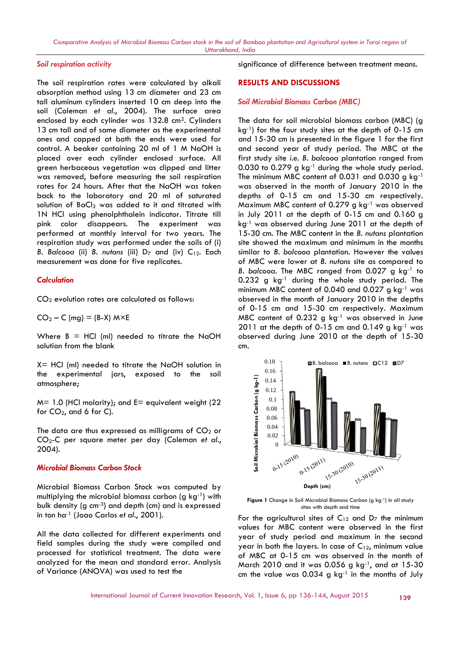## *Soil respiration activity*

The soil respiration rates were calculated by alkali absorption method using 13 cm diameter and 23 cm tall aluminum cylinders inserted 10 cm deep into the soil (Coleman *et al*., 2004). The surface area enclosed by each cylinder was 132.8 cm<sup>2</sup>. Cylinders 13 cm tall and of same diameter as the experimental ones and capped at both the ends were used for control. A beaker containing 20 ml of 1 M NaOH is placed over each cylinder enclosed surface. All green herbaceous vegetation was clipped and litter was removed, before measuring the soil respiration rates for 24 hours. After that the NaOH was taken back to the laboratory and 20 ml of saturated solution of BaCl<sub>2</sub> was added to it and titrated with 1N HCl using phenolphthalein indicator. Titrate till pink color disappears. The experiment was performed at monthly interval for two years. The respiration study was performed under the soils of (i) *B. Balcooa* (ii) *B. nutans* (iii) D<sub>7</sub> and (iv) C<sub>12</sub>. Each measurement was done for five replicates. enclosed by each cylinder was 132.8 cm<sup>2</sup>. Cylinders<br>13 cm tall and of same diameter as the experimental<br>constant dont the molecular both the ends were used for<br>constrolated over each cylinder enclosed surface. All<br>green

#### *Calculation*

CO<sup>2</sup> evolution rates are calculated as follows:

 $CO<sub>2</sub> - C$  (mg) = (B-X) M×E

Where  $B = HCl$  (ml) needed to titrate the NaOH solution from the blank

 $X=$  HCl (ml) needed to titrate the NaOH solution in the experimental jars, exposed to the soil atmosphere;

 $M = 1.0$  (HCl molarity); and  $E =$  equivalent weight (22) for CO $_2$ , and 6 for C).

The data are thus expressed as milligrams of CO $_2$  or CO2-C per square meter per day (Coleman *et al*., 2004).  $r_{\text{c}}$ 

#### *Microbial Biomass Carbon Stock*

Microbial Biomass Carbon Stock was computed by multiplying the microbial biomass carbon (g kg<sup>-1</sup>) with bulk density (g  $cm^{-3}$ ) and depth (cm) and is expressed in ton ha-1 (Joao Carlos *et al*., 2001).

All the data collected for different experiments and field samples during the study were compiled and  $\overline{v_{\text{e}or}}$ processed for statistical treatment. The data were analyzed for the mean and standard error. Analysis of Variance (ANOVA) was used to test the

significance of difference between treatment means.

## **RESULTS AND DISCUSSIONS**

#### *Soil Microbial Biomass Carbon (MBC)*

The data for soil microbial biomass carbon (MBC) (g kg<sup>-1</sup>) for the four study sites at the depth of 0-15 cm and 15-30 cm is presented in the figure 1 for the first and second year of study period. The MBC at the first study site *i.e. B. balcooa* plantation ranged from  $0.030$  to  $0.279$  g kg<sup>-1</sup> during the whole study period. The minimum MBC content of 0.031 and 0.030 g  $kg^{-1}$ was observed in the month of January 2010 in the depths of 0-15 cm and 15-30 cm respectively. Maximum MBC content of 0.279 g kg-1 was observed in July 2011 at the depth of 0-15 cm and 0.160 g kg-1 was observed during June 2011 at the depth of 15-30 cm. The MBC content in the *B. nutans* plantation site showed the maximum and minimum in the months similar to *B. balcooa* plantation. However the values of MBC were lower at *B. nutans* site as compared to *B. balcooa.* The MBC ranged from 0.027 g kg<sup>-1</sup> to 0.232 g kg-1 during the whole study period. The minimum MBC content of 0.040 and 0.027 g kg-1 was observed in the month of January 2010 in the depths of 0-15 cm and 15-30 cm respectively. Maximum 0-15 MBC content of  $0.232$  g kg<sup>-1</sup> was observed in June  $2011$  at the depth of 0-15 cm and 0.149 g kg<sup>-1</sup> was observed during June 2010 at the depth of 15-30 cm. d Biomas Cerbon stok in the soil of Bomboo plantation and Agricula<br>
interaction into the sole of Bomboo plantation and Agricula<br>
interaction of 23 cm<br>
interaction of 23 cm<br>
interaction of the sole of the case of the case o statistical used of the statistical between the difference **Biomass Conservers** of the statistical used of the statistical used of the particular of the statistical difference considered the conserversion (ABC) of the fir was observed in the month of January 2010 in the<br>depths of 0-15 cm and 15-30 cm respectively.<br>Maximum MBC content of 0.279 g kg<sup>-1</sup> was observed<br>in July 2011 at the depth of 0-15 cm and 0.160 g<br>kg<sup>-1</sup> was observed during J oo plantation and Agricultural<br>
icance of difference bet<br> **LTS AND DISCUSSIONS**<br>
licrobial Biomass Carbon<br>
lata for soil microbial b<br>
for the four study site is 5-30 cm is presented in<br>
second year of study p<br>
tudy site i. 1 significance of difference between treatment means.<br>
theter and 23 cm<br>
there are Soil Microbial Biomass Carbon (MBC)<br>
8 cm<sup>2</sup> cylinders<br>
<sup>1</sup> were used for colling the data for solid microbial biomass carbon (MBC)<br>
8 cm<sup></sup>



Figure 1 Change in Soil Microbial Biomass Carbon (g kg<sup>-1</sup>) in all study sites with depth and time

For the agricultural sites of  $C_{12}$  and  $D_7$  the minimum values for MBC content were observed in the first year of study period and maximum in the second year in both the layers. In case of  $C_{12}$ , minimum value of MBC at 0-15 cm was observed in the month of March 2010 and it was 0.056 g kg-1, and at 15-30 cm the value was  $0.034$  g kg<sup>-1</sup> in the months of July  $\frac{1}{2}$ <br>  $\frac{1}{2}$ <br>  $\frac{1}{2}$ <br>  $\frac{1}{2}$ <br>  $\frac{1}{2}$ <br>  $\frac{1}{2}$ <br>  $\frac{1}{2}$ <br>  $\frac{1}{2}$ <br>  $\frac{1}{2}$ <br>  $\frac{1}{2}$ <br>  $\frac{1}{2}$ <br>
Depth (cm)<br>
igure 1 Change in Soil Microbial Biomass Carbon (is<br>
sites with depth and time<br>
the agri maximum in the second<br>ase of C<sub>12</sub>, minimum value<br>bbserved in the month of<br>056 g kg<sup>-1</sup>, and at 15-30<br>kg<sup>-1</sup> in the months of July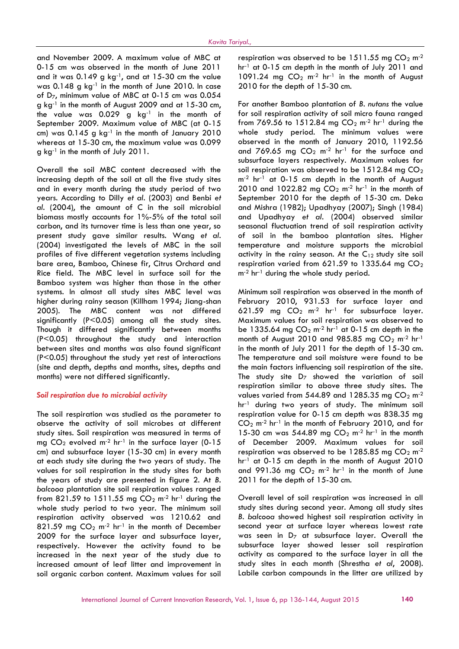and November 2009. A maximum value of MBC at 0-15 cm was observed in the month of June 2011 and it was  $0.149$  g kg<sup>-1</sup>, and at  $15-30$  cm the value was  $0.148$  g kg<sup>-1</sup> in the month of June 2010. In case of D7, minimum value of MBC at 0-15 cm was 0.054 g kg-1 in the month of August 2009 and at 15-30 cm, the value was  $0.029$  g kg<sup>-1</sup> in the month of September 2009. Maximum value of MBC (at 0-15 cm) was  $0.145$  g kg<sup>-1</sup> in the month of January 2010 whereas at 15-30 cm, the maximum value was 0.099 g kg-1 in the month of July 2011.

Overall the soil MBC content decreased with the increasing depth of the soil at all the five study sites and in every month during the study period of two years. According to Dilly *et al.* (2003) and Benbi *et al.* (2004), the amount of C in the soil microbial biomass mostly accounts for 1%-5% of the total soil carbon, and its turnover time is less than one year, so present study gave similar results. Wang *et al*. (2004) investigated the levels of MBC in the soil profiles of five different vegetation systems including bare area, Bamboo, Chinese fir, Citrus Orchard and Rice field. The MBC level in surface soil for the Bamboo system was higher than those in the other systems. In almost all study sites MBC level was higher during rainy season (Killham 1994; Jiang-shan 2005). The MBC content was not differed significantly (P<0.05) among all the study sites. Though it differed significantly between months (P<0.05) throughout the study and interaction between sites and months was also found significant (P<0.05) throughout the study yet rest of interactions (site and depth, depths and months, sites, depths and months) were not differed significantly.

#### *Soil respiration due to microbial activity*

The soil respiration was studied as the parameter to observe the activity of soil microbes at different study sites. Soil respiration was measured in terms of mg  $CO<sub>2</sub>$  evolved m<sup>-2</sup> hr<sup>-1</sup> in the surface layer (0-15 cm) and subsurface layer (15-30 cm) in every month at each study site during the two years of study. The values for soil respiration in the study sites for both the years of study are presented in figure 2. At *B. balcooa* plantation site soil respiration values ranged from 821.59 to 1511.55 mg  $CO_2$  m<sup>-2</sup> hr<sup>-1</sup> during the whole study period to two year. The minimum soil respiration activity observed was 1210.62 and 821.59 mg  $CO<sub>2</sub>$  m<sup>-2</sup> hr<sup>-1</sup> in the month of December 2009 for the surface layer and subsurface layer, respectively. However the activity found to be increased in the next year of the study due to increased amount of leaf litter and improvement in soil organic carbon content. Maximum values for soil

respiration was observed to be 1511.55 mg  $CO<sub>2</sub>$  m<sup>-2</sup> hr<sup>-1</sup> at 0-15 cm depth in the month of July 2011 and 1091.24 mg  $CO<sub>2</sub>$  m<sup>-2</sup> hr<sup>-1</sup> in the month of August 2010 for the depth of 15-30 cm.

For another Bamboo plantation of *B. nutans* the value for soil respiration activity of soil micro fauna ranged from 769.56 to 1512.84 mg  $CO<sub>2</sub>$  m<sup>-2</sup> hr<sup>-1</sup> during the whole study period. The minimum values were observed in the month of January 2010, 1192.56 and 769.65 mg  $CO_2$  m<sup>-2</sup> hr<sup>-1</sup> for the surface and subsurface layers respectively. Maximum values for soil respiration was observed to be  $1512.84$  mg  $CO<sub>2</sub>$  $m<sup>-2</sup>$  hr<sup>-1</sup> at 0-15 cm depth in the month of August 2010 and 1022.82 mg  $CO<sub>2</sub>$  m<sup>-2</sup> hr<sup>-1</sup> in the month of September 2010 for the depth of 15-30 cm. Deka and Mishra (1982); Upadhyay (2007); Singh (1984) and Upadhyay *et al.* (2004) observed similar seasonal fluctuation trend of soil respiration activity of soil in the bamboo plantation sites. Higher temperature and moisture supports the microbial activity in the rainy season. At the  $C_{12}$  study site soil respiration varied from 621.59 to 1335.64 mg  $CO<sub>2</sub>$ m<sup>-2</sup> hr<sup>-1</sup> during the whole study period.

Minimum soil respiration was observed in the month of February 2010, 931.53 for surface layer and 621.59 mg  $CO<sub>2</sub>$  m<sup>-2</sup> hr<sup>-1</sup> for subsurface layer. Maximum values for soil respiration was observed to be 1335.64 mg  $CO<sub>2</sub>$  m<sup>-2</sup> hr<sup>-1</sup> at 0-15 cm depth in the month of August 2010 and 985.85 mg  $CO<sub>2</sub>$  m<sup>-2</sup> hr<sup>-1</sup> in the month of July 2011 for the depth of 15-30 cm. The temperature and soil moisture were found to be the main factors influencing soil respiration of the site. The study site  $D_7$  showed the variation of soil respiration similar to above three study sites. The values varied from 544.89 and 1285.35 mg  $CO<sub>2</sub>$  m<sup>-2</sup> hr<sup>-1</sup> during two years of study. The minimum soil respiration value for 0-15 cm depth was 838.35 mg  $CO<sub>2</sub>$  m<sup>-2</sup> hr<sup>-1</sup> in the month of February 2010, and for 15-30 cm was 544.89 mg  $CO<sub>2</sub>$  m<sup>-2</sup> hr<sup>-1</sup> in the month of December 2009. Maximum values for soil respiration was observed to be 1285.85 mg  $CO<sub>2</sub>$  m<sup>-2</sup> hr<sup>-1</sup> at 0-15 cm depth in the month of August 2010 and 991.36 mg  $CO<sub>2</sub>$  m<sup>-2</sup> hr<sup>-1</sup> in the month of June 2011 for the depth of 15-30 cm.

Overall level of soil respiration was increased in all study sites during second year. Among all study sites *B. balcooa* showed highest soil respiration activity in second year at surface layer whereas lowest rate was seen in  $D<sub>7</sub>$  at subsurface layer. Overall the subsurface layer showed lesser soil respiration activity as compared to the surface layer in all the study sites in each month (Shrestha *et al*, 2008). Labile carbon compounds in the litter are utilized by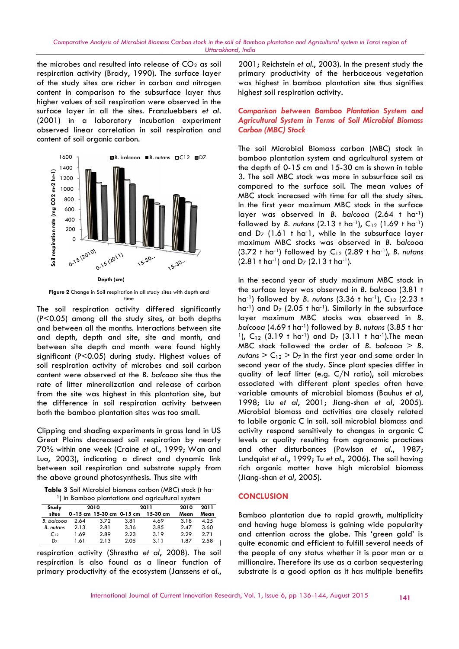the microbes and resulted into release of  $CO<sub>2</sub>$  as soil respiration activity (Brady, 1990). The surface layer of the study sites are richer in carbon and nitrogen was<br>content in comparison to the subsurface layer thus high<br>higher values of soil respiration were observed in the content in comparison to the subsurface layer thus higher values of soil respiration were observed in the surface layer in all the sites. Franzluebbers *et al.* (2001) in a laboratory incubation experiment observed linear correlation in soil respiration and content of soil organic carbon.



**Figure 2** Change in Soil respiration in all study sites with depth and time

The soil respiration activity differed significantly (P<0.05) among all the study sites, at both depths and between all the months. Interactions between site and depth, depth and site, site and month, and between site depth and month were found highly significant (P<0.05) during study. Highest values of soil respiration activity of microbes and soil carbon content were observed at the *B. balcooa* site thus the rate of litter mineralization and release of carbon from the site was highest in this plantation site, but the difference in soil respiration activity between both the bamboo plantation sites was too small. 0.05) among all the study sites, at both dep<br>between all the months. Interactions between :<br>depth, depth and site, site and month, c<br>veen site depth and month were found hig<br>ficant (P<0.05) during study. Highest values<br>re

Clipping and shading experiments in grass land in US Great Plains decreased soil respiration by nearly 70% within one week (Craine *et al.*, 1999; Wan and Luo, 2003), indicating a direct and dynamic link between soil respiration and substrate supply from the above ground photosynthesis. Thus site with the difference in soil respiration c<br>both the bamboo plantation sites was<br>Clipping and shading experiments in<br>Great Plains decreased soil respire<br>70% within one week (Craine et al.,<br>Luo, 2003), indicating a direct an<br>betwe

**Table 3** Soil Microbial biomass carbon (MBC) stock (t ha<sup>-</sup> <sup>1</sup>) in Bamboo plantations and agricultural system

| Study            | 2010 |                          | 2011 |          | 2010 | 2011 |
|------------------|------|--------------------------|------|----------|------|------|
| sites            |      | 0-15 cm 15-30 cm 0-15 cm |      | 15-30 cm | Mean | Mean |
| B. balcooa       | 2.64 | 3.72                     | 3.81 | 4.69     | 3.18 | 4.25 |
| <b>B.</b> nutans | 2.13 | 2.81                     | 3.36 | 3.85     | 2.47 | 3.60 |
| $C_{12}$         | 1.69 | 2.89                     | 2.23 | 3.19     | 2.29 | 2.71 |
| D <sub>7</sub>   | 1.61 | 2.13                     | 2.05 | 3.11     | 1.87 | 2.58 |

respiration activity (Shrestha *et al*, 2008). The soil respiration is also found as a linear function of primary productivity of the ecosystem (Janssens *et al*.,

2001; Reichstein *et al*., 2003). In the present study the primary productivity of the herbaceous vegetation was highest in bamboo plantation site thus signifies highest soil respiration activity.

## *Comparison between Bamboo Plantation System and Agricultural System in Terms of Soil Microbial Biomass System Carbon (MBC) Stock*

The soil Microbial Biomass carbon (MBC) stock in bamboo plantation system and agricultural system at the depth of 0-15 cm and 15-30 cm is shown in table 3. The soil MBC stock was more in subsurface soil as compared to the surface soil. The mean values of MBC stock increased with time for all the study sites. In the first year maximum MBC stock in the surface layer was observed in *B. balcooa* (2.64 t ha-1) followed by *B. nutans*  $(2.13 \text{ t} \text{ ha}^{-1})$ ,  $C_{12}$   $(1.69 \text{ t} \text{ ha}^{-1})$ and  $D_7$  (1.61 t ha<sup>-1</sup>, while in the subsurface layer maximum MBC stocks was observed in *B. balcooa* (3.72 t ha<sup>-1</sup>) followed by C<sub>12</sub> (2.89 t ha<sup>-1</sup>), *B. nutans*  $(2.81 \text{ t} \text{ ha}^{-1})$  and  $D_7$   $(2.13 \text{ t} \text{ ha}^{-1})$ . The soil Microbial Biomass carbon (MBC) stock in<br>bamboo plantation system and agricultural system at<br>the depth of 0-15 cm and 15-30 cm is shown in table<br>3. The soil MBC stock was more in subsurface soil as<br>compared to the

In the second year of study maximum MBC stock in the surface layer was observed in *B. balcooa* (3.81 t *balcooa*ha<sup>-1</sup>) followed by *B. nutans* (3.36 t ha<sup>-1</sup>), C<sub>12</sub> (2.23 t<br>ha<sup>-1</sup>) and D<sub>7</sub> (2.05 t ha<sup>-1</sup>). Similarly in the subsurface ha<sup>-1</sup>) and  $D_7$  (2.05 t ha<sup>-1</sup>). Similarly in the subsurface layer maximum MBC stocks was observed in *B. balcooa* (4.69 t ha-1) followed by *B. nutans* (3.85 t ha- <sup>1</sup>), C<sub>12</sub> (3.19 t ha<sup>-1</sup>) and D<sub>7</sub> (3.11 t ha<sup>-1</sup>). The mean MBC stock followed the order of *B*. balcooa  $>$  *B*.  $n$ utans  $>$  C<sub>12</sub>  $>$  D<sub>7</sub> in the first year and same order in second year of the study. Since plant species differ in quality of leaf litter (e.g. C/N ratio), soil microbes associated with different plant species often have variable amounts of microbial biomass (Bauhus *et al*, *al*1998; Liu *et al*, 2001; Jiang-shan *et al*, 2005). Microbial biomass and activities are closely related to labile organic C in soil. soil microbial biomass and activity respond sensitively to changes in organic C levels or quality resulting from agronomic practices and other disturbances (Powlson *et al*., 1987; Lundquist et al., 1999; Tu et al., 2006). The soil having rich organic matter have high microbial biomass (Jiang-shan *et al*, 2005). *et* in electron of CO, et al 2001 A Relations el di, 2003). In the present study the present study in the properties of a 2003). In the study of the study of the study of the study of the study of the study of the study of the The soil Microbial Biomass carbon (MBC) stock in<br>bamboo plantation system and agricultural system at<br>the depth of 0-15 cm and 15-30 cm is shown in table<br>3. The soil MBC stock was more in subsurface soil as<br>compared to the Figure 21. The solution of the state of the state of the state of the state of the state of the state of the state of the state of the state of the state of the state of the state of the state of the state of the state o on stock the sail of Bamboo plantation and Agricultural<br> *Ulteralisma* in the sail of Bamboo plantation and Agricultural<br>
CD<sub>2</sub> as soil 2001; Reichstein et al., 2003)<br>
du nitrogen was highest soil respiration activity of t um MBC stocks was observed in B<br>t ha<sup>-1</sup>) followed by B. nutans (3.85 t ha<br>t ha<sup>-1</sup>) and D<sub>7</sub> (3.11 t ha<sup>-1</sup>).The mear it of the study. Since plant species<br>leaf litter (e.g. C/N ratio), soil r<br>with different plant species ofter levels or quality resulting from agronomic practices<br>and other disturbances (Powlson et al., 1987;<br>Lundquist et al., 1999; Tu et al., 2006). The soil having<br>rich organic matter have high microbial biomass shes with depth ond<br>
less with depth was considered in the control of the subsect of the behavior of the the phase of the the phase of the the phase of the the phase of the behavior of the depth of the subsections between

## **CONCLUSION**

Bamboo plantation due to rapid growth, multiplicity and having huge biomass is gaining wide popularity and attention across the globe. This 'green gold' is quite economic and efficient to fulfill several needs of the people of any status whether it is poor man or a millionaire. Therefore its use as a carbon sequestering substrate is a good option as it has multiple benefits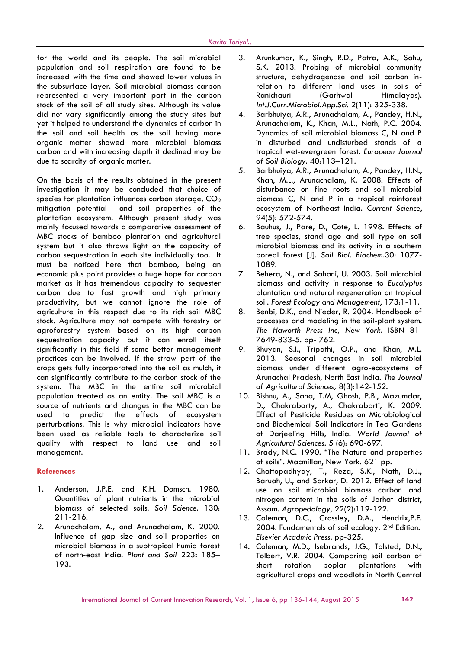for the world and its people. The soil microbial population and soil respiration are found to be increased with the time and showed lower values in the subsurface layer. Soil microbial biomass carbon represented a very important part in the carbon stock of the soil of all study sites. Although its value did not vary significantly among the study sites but 4. yet it helped to understand the dynamics of carbon in the soil and soil health as the soil having more organic matter showed more microbial biomass carbon and with increasing depth it declined may be due to scarcity of organic matter.

On the basis of the results obtained in the present investigation it may be concluded that choice of species for plantation influences carbon storage,  $CO<sub>2</sub>$ mitigation potential and soil properties of the plantation ecosystem. Although present study was mainly focused towards a comparative assessment of MBC stocks of bamboo plantation and agricultural system but it also throws light on the capacity of carbon sequestration in each site individually too. It must be noticed here that bamboo, being an economic plus point provides a huge hope for carbon market as it has tremendous capacity to sequester carbon due to fast growth and high primary productivity, but we cannot ignore the role of agriculture in this respect due to its rich soil MBC stock. Agriculture may not compete with forestry or agroforestry system based on its high carbon sequestration capacity but it can enroll itself significantly in this field if some better management 9. practices can be involved. If the straw part of the crops gets fully incorporated into the soil as mulch, it can significantly contribute to the carbon stock of the system. The MBC in the entire soil microbial population treated as an entity. The soil MBC is a source of nutrients and changes in the MBC can be used to predict the effects of ecosystem perturbations. This is why microbial indicators have been used as reliable tools to characterize soil quality with respect to land use and soil management.

## **References**

- 1. Anderson, J.P.E. and K.H. Domsch. 1980. Quantities of plant nutrients in the microbial biomass of selected soils. *Soil Science*. 130: 211-216.
- 2. Arunachalam, A., and Arunachalam, K. 2000. Influence of gap size and soil properties on microbial biomass in a subtropical humid forest of north-east India. *Plant and Soil* 223**:** 185– 193.
- 3. Arunkumar, K., Singh, R.D., Patra, A.K., Sahu, S.K. 2013. Probing of microbial community structure, dehydrogenase and soil carbon inrelation to different land uses in soils of Ranichauri (Garhwal Himalayas). *Int.J.Curr.Microbiol.App.Sci.* 2(11): 325-338.
- 4. Barbhuiya, A.R., Arunachalam, A., Pandey, H.N., Arunachalam, K., Khan, M.L., Nath, P.C. 2004. Dynamics of soil microbial biomass C, N and P in disturbed and undisturbed stands of a tropical wet-evergreen forest. *European Journal of Soil Biology.* 40:113–121.
- 5. Barbhuiya, A.R., Arunachalam, A., Pandey, H.N., Khan, M.L., Arunachalam, K. 2008. Effects of disturbance on fine roots and soil microbial biomass C, N and P in a tropical rainforest ecosystem of Northeast India. *Current Science*, 94(5): 572-574.
- 6. Bauhus, J., Pare, D., Cote, L. 1998. Effects of tree species, stand age and soil type on soil microbial biomass and its activity in a southern boreal forest [J]. *Soil Biol. Biochem*.30: 1077- 1089.
- Behera, N., and Sahani, U. 2003. Soil microbial biomass and activity in response to *Eucalyptus* plantation and natural regeneration on tropical soil. *Forest Ecology and Management*, 173:1-11.
- 8. Benbi, D.K., and Nieder, R. 2004. Handbook of processes and modeling in the soil-plant system. *The Haworth Press Inc, New York.* ISBN 81- 7649-833-5. pp- 762.
- 9. Bhuyan, S.I., Tripathi, O.P., and Khan, M.L. 2013. Seasonal changes in soil microbial biomass under different agro-ecosystems of Arunachal Pradesh, North East India. *The Journal of Agricultural Sciences,* 8(3):142-152.
- 10. Bishnu, A., Saha, T.M, Ghosh, P.B., Mazumdar, D., Chakraborty, A., Chakrabarti, K. 2009. Effect of Pesticide Residues on Microbiological and Biochemical Soil Indicators in Tea Gardens of Darjeeling Hills, India. *World Journal of Agricultural Sciences*. 5 (6): 690-697.
- 11. Brady, N.C. 1990. "The Nature and properties of soils". Macmillan, New York. 621 pp.
- 12. Chattopadhyay, T., Reza, S.K., Nath, D.J., Baruah, U., and Sarkar, D. 2012. Effect of land use on soil microbial biomass carbon and nitrogen content in the soils of Jorhat district, Assam. *Agropedology*, 22(2):119-122.
- 13. Coleman, D.C., Crossley, D.A., Hendrix,P.F. 2004. Fundamentals of soil ecology. 2<sup>nd</sup> Edition. *Elsevier Acadmic Press.* pp-325.
- 14. Coleman, M.D., Isebrands, J.G., Tolsted, D.N., Tolbert, V.R. 2004. Comparing soil carbon of short rotation poplar plantations with agricultural crops and woodlots in North Central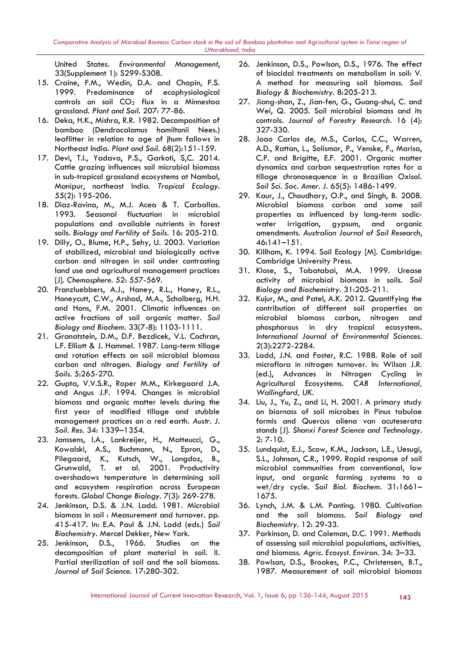*Comparative Analysis of Microbial Biomass Carbon stock in the soil of Bamboo plantation and Agricultural system in Tarai region of Uttarakhand, India*

United States. *Environmental Management*, 33(Supplement 1): S299-S308.

- 15. Craine, F.M., Wedin, D.A. and Chapin, F.S. 1999. Predominance of ecophysiological controls on soil  $CO<sub>2</sub>$  flux in a Minnestoa grassland. *Plant and Soil*. 207: 77-86.
- 16. Deka, H.K., Mishra, R.R. 1982. Decomposition of bamboo (Dendrocalamus hamiltonii Nees.) leaflitter in relation to age of jhum fallows in Northeast India. *Plant and Soil*. 68(2):151-159.
- 17. Devi, T.I., Yadava, P.S., Garkoti, S,C. 2014. Cattle grazing influences soil microbial biomass in sub-tropical grassland ecosystems at Nambol, Manipur, northeast India. *Tropical Ecology.* 55(2): 195-206.
- 18. Diaz-Ravina, M., M.J. Acea & T. Carballas. 1993. Seasonal fluctuation in microbial populations and available nutrients in forest soils. *Biology and Fertility of Soils*. 16: 205-210.
- 19. Dilly, O., Blume, H.P., Sehy, U. 2003. Variation of stabilized, microbial and biologically active carbon and nitrogen in soil under contrasting land use and agricultural management practices [J]. *Chemosphere*. 52: 557-569.
- 20. Franzluebbers, A.J., Haney, R.L., Honey, R.L., Honeycutt, C.W., Arshad, M.A., Scholberg, H.H. and Hons, F.M. 2001. Climatic influences on active fractions of soil organic matter. *Soil Biology and Biochem.* 33(7-8): 1103-1111.
- 21. Granatstein, D.M., D.F. Bezdicek, V.L. Cochran, L.F. Elliott & J. Hammel. 1987. Long-term tillage and rotation effects on soil microbial biomass carbon and nitrogen. *Biology and Fertility of Soils*. 5:265-270.
- 22. Gupta, V.V.S.R., Roper M.M., Kirkegaard J.A. and Angus J.F. 1994. Changes in microbial biomass and organic matter levels during the first year of modified tillage and stubble management practices on a red earth. *Austr. J. Soil. Res*. 34: 1339–1354.
- 23. Janssens, I.A., Lankreijer, H., Matteucci, G., Kowalski, A.S., Buchmann, N., Epron, D., Pilegaard, K., Kutsch, W., Longdoz, B., Grunwald, T. et al. 2001. Productivity overshadows temperature in determining soil and ecosystem respiration across European forests. *Global Change Biology.* 7(3): 269-278.
- 24. Jenkinson, D.S. & J.N. Ladd. 1981. Microbial biomass in soil : Measurement and turnover. pp. 415-417. In: E.A. Paul & J.N. Ladd (eds.) *Soil Biochemistry.* Mercel Dekker, New York.
- 25. Jenkinson, D.S., 1966. Studies on the decomposition of plant material in soil. II. Partial sterilization of soil and the soil biomass. *Journal of Soil Science.* 17:280-302.
- 26. Jenkinson, D.S., Powlson, D.S., 1976. The effect of biocidal treatments on metabolism in soil: V. A method for measuring soil biomass. *Soil Biology & Biochemistry*. 8:205-213.
- 27. Jiang-shan, Z., Jian-fen, G., Guang-shui, C. and Wei, Q. 2005. Soil microbial biomass and its controls. *Journal of Forestry Research*. 16 (4): 327-330.
- 28. Joao Carlos de, M.S., Carlos, C.C., Warren, A.D., Rattan, L., Solismar, P., Venske, F., Marisa, C.P. and Brigitte, E.F. 2001. Organic matter dynamics and carbon sequestration rates for a tillage chronosequence in a Brazilian Oxisol. *Soil Sci. Soc. Amer. J*. 65(5): 1486-1499.
- 29. Kaur, J., Choudhary, O.P., and Singh, B. 2008. Microbial biomass carbon and some soil properties as influenced by long-term sodic water irrigation, gypsum, and organic amendments. *Australian Journal of Soil Research*, 46:141–151.
- 30. Killham, K. 1994. Soil Ecology [M]. Cambridge: Cambridge University Press.
- 31. Klose, S., Tabatabai, M.A. 1999. Urease activity of microbial biomass in soils. *Soil Biology and Biochemistry*. 31:205-211.
- 32. Kujur, M., and Patel, A.K. 2012. Quantifying the contribution of different soil properties on microbial biomass carbon, nitrogen and phosphorous in dry tropical ecosystem**.** *International Journal of Environmental Sciences*. 2(3):2272-2284.
- Ladd, J.N. and Foster, R.C. 1988. Role of soil microflora in nitrogen turnover. In: Wilson J.R. (ed.), Advances in Nitrogen Cycling in Agricultural Ecosystems. *CAB International, Wallingford, UK*.
- 34. Liu, J., Yu, Z., and Li, H. 2001. A primary study on biornass of soil microbes in Pinus tabulae formis and Quercus aliena van acuteserata stands [J]. *Shanxi Forest Science and Technology*. 2: 7-10.
- 35. Lundquist, E.J., Scow, K.M., Jackson, L.E., Uesugi, S.L., Johnson, C.R., 1999. Rapid response of soil microbial communities from conventional, low input, and organic farming systems to a wet/dry cycle. *Soil Biol. Biochem*. 31:1661– 1675.
- 36. Lynch, J.M. & L.M. Panting. 1980. Cultivation and the soil biomass. *Soil Biology and Biochemistry*. 12: 29-33.
- 37. Parkinson, D. and Coleman, D.C. 1991. Methods of assessing soil microbial populations, activities, and biomass. *Agric. Ecosyst. Environ.* 34: 3–33.
- 38. Powlson, D.S., Brookes, P.C., Christensen, B.T., 1987. Measurement of soil microbial biomass